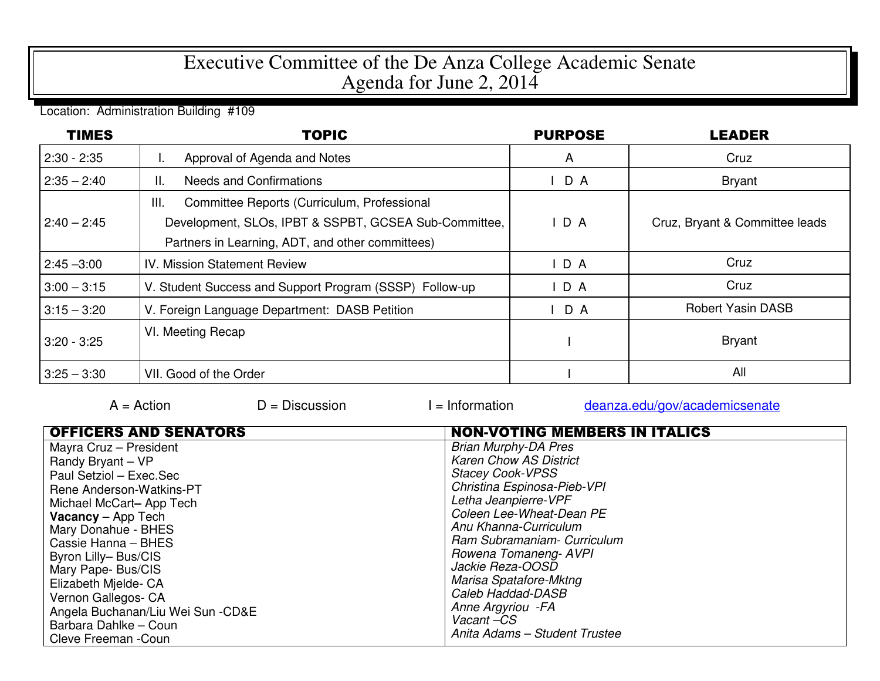## Executive Committee of the De Anza College Academic Senate Agenda for June 2, 2014

Location: Administration Building #109

| <b>TIMES</b>  | <b>TOPIC</b>                                            | <b>PURPOSE</b> | <b>LEADER</b>                  |
|---------------|---------------------------------------------------------|----------------|--------------------------------|
| $2:30 - 2:35$ | Approval of Agenda and Notes                            | A              | Cruz                           |
| $2:35 - 2:40$ | <b>Needs and Confirmations</b><br>Н.                    | D A            | Bryant                         |
|               | Committee Reports (Curriculum, Professional<br>III.     |                |                                |
| $2:40 - 2:45$ | Development, SLOs, IPBT & SSPBT, GCSEA Sub-Committee,   | $I$ D A        | Cruz, Bryant & Committee leads |
|               | Partners in Learning, ADT, and other committees)        |                |                                |
| $2:45 - 3:00$ | <b>IV. Mission Statement Review</b>                     | DA             | Cruz                           |
| $3:00 - 3:15$ | V. Student Success and Support Program (SSSP) Follow-up | D A            | Cruz                           |
| $3:15 - 3:20$ | V. Foreign Language Department: DASB Petition           | D A            | <b>Robert Yasin DASB</b>       |
| $3:20 - 3:25$ | VI. Meeting Recap                                       |                | <b>Bryant</b>                  |
| $3:25 - 3:30$ | VII. Good of the Order                                  |                | All                            |

| $A = Action$                                                                                                                                                                    | $D =$ Discussion | $=$ Information                                                                                                                                                    | deanza.edu/gov/academicsenate        |
|---------------------------------------------------------------------------------------------------------------------------------------------------------------------------------|------------------|--------------------------------------------------------------------------------------------------------------------------------------------------------------------|--------------------------------------|
| <b>OFFICERS AND SENATORS</b><br>Mayra Cruz - President<br>Randy Bryant - VP                                                                                                     |                  | <b>Brian Murphy-DA Pres</b><br><b>Karen Chow AS District</b>                                                                                                       | <b>NON-VOTING MEMBERS IN ITALICS</b> |
| Paul Setziol - Exec. Sec<br>Rene Anderson-Watkins-PT<br>Michael McCart-App Tech<br><b>Vacancy</b> $-$ App Tech<br>Mary Donahue - BHES<br>Cassie Hanna - BHES                    |                  | <b>Stacey Cook-VPSS</b><br>Christina Espinosa-Pieb-VPI<br>Letha Jeanpierre-VPF<br>Coleen Lee-Wheat-Dean PE<br>Anu Khanna-Curriculum<br>Ram Subramaniam- Curriculum |                                      |
| Byron Lilly-Bus/CIS<br>Mary Pape- Bus/CIS<br>Elizabeth Mielde- CA<br>Vernon Gallegos- CA<br>Angela Buchanan/Liu Wei Sun - CD&E<br>Barbara Dahlke - Coun<br>Cleve Freeman - Coun |                  | Rowena Tomaneng-AVPI<br>Jackie Reza-OOSD<br>Marisa Spatafore-Mktng<br>Caleb Haddad-DASB<br>Anne Argyriou - FA<br>Vacant-CS<br>Anita Adams - Student Trustee        |                                      |